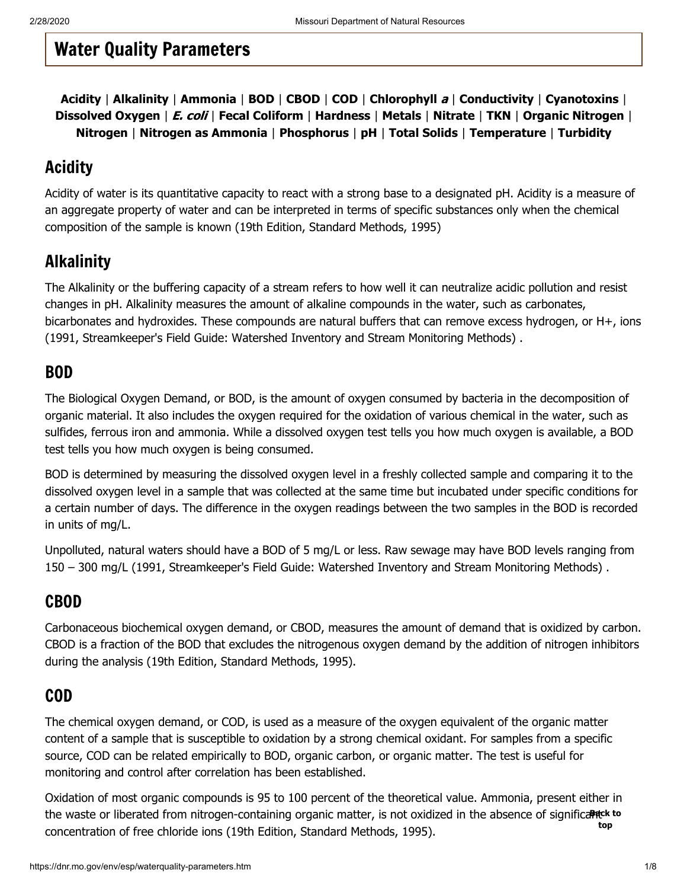# <span id="page-0-6"></span>Water Quality Parameters

**[Acidity](#page-0-0)** | **[Alkalinity](#page-0-1)** | **Ammonia** | **[BOD](#page-0-2)** | **[CBOD](#page-0-3)** | **[COD](#page-0-4)** | **[Chlorophyll](#page-0-5)** a | **[Conductivity](#page-1-0)** | **[Cyanotoxins](#page-1-1)** | **Dissolved Oxygen** | E. coli | **Fecal Coliform** | **[Hardness](#page-3-0)** | **[Metals](#page-3-1)** | **Nitrate** | **TKN** | **Organic Nitrogen** | **[Nitrogen](#page-4-0)** | **Nitrogen as Ammonia** | **[Phosphorus](#page-5-0)** | **[pH](#page-5-1)** | **Total Solids** | **[Temperature](#page-6-0)** | **[Turbidity](#page-6-1)**

### <span id="page-0-0"></span>Acidity

Acidity of water is its quantitative capacity to react with a strong base to a designated pH. Acidity is a measure of an aggregate property of water and can be interpreted in terms of specific substances only when the chemical composition of the sample is known (19th Edition, Standard Methods, 1995)

### <span id="page-0-1"></span>Alkalinity

The Alkalinity or the buffering capacity of a stream refers to how well it can neutralize acidic pollution and resist changes in pH. Alkalinity measures the amount of alkaline compounds in the water, such as carbonates, bicarbonates and hydroxides. These compounds are natural buffers that can remove excess hydrogen, or H+, ions (1991, Streamkeeper's Field Guide: Watershed Inventory and Stream Monitoring Methods) .

#### <span id="page-0-2"></span>BOD

The Biological Oxygen Demand, or BOD, is the amount of oxygen consumed by bacteria in the decomposition of organic material. It also includes the oxygen required for the oxidation of various chemical in the water, such as sulfides, ferrous iron and ammonia. While a dissolved oxygen test tells you how much oxygen is available, a BOD test tells you how much oxygen is being consumed.

BOD is determined by measuring the dissolved oxygen level in a freshly collected sample and comparing it to the dissolved oxygen level in a sample that was collected at the same time but incubated under specific conditions for a certain number of days. The difference in the oxygen readings between the two samples in the BOD is recorded in units of mg/L.

Unpolluted, natural waters should have a BOD of 5 mg/L or less. Raw sewage may have BOD levels ranging from 150 – 300 mg/L (1991, Streamkeeper's Field Guide: Watershed Inventory and Stream Monitoring Methods) .

### <span id="page-0-3"></span>CBOD

Carbonaceous biochemical oxygen demand, or CBOD, measures the amount of demand that is oxidized by carbon. CBOD is a fraction of the BOD that excludes the nitrogenous oxygen demand by the addition of nitrogen inhibitors during the analysis (19th Edition, Standard Methods, 1995).

### <span id="page-0-4"></span>COD

The chemical oxygen demand, or COD, is used as a measure of the oxygen equivalent of the organic matter content of a sample that is susceptible to oxidation by a strong chemical oxidant. For samples from a specific source, COD can be related empirically to BOD, organic carbon, or organic matter. The test is useful for monitoring and control after correlation has been established.

<span id="page-0-5"></span>Oxidation of most organic compounds is 95 to 100 percent of the theoretical value. Ammonia, present ei[ther in](#page-0-6) the waste or liberated from nitrogen-containing organic matter, is not oxidized in the absence of significa**Pick to** concentration of free chloride ions (19th Edition, Standard Methods, 1995). **top**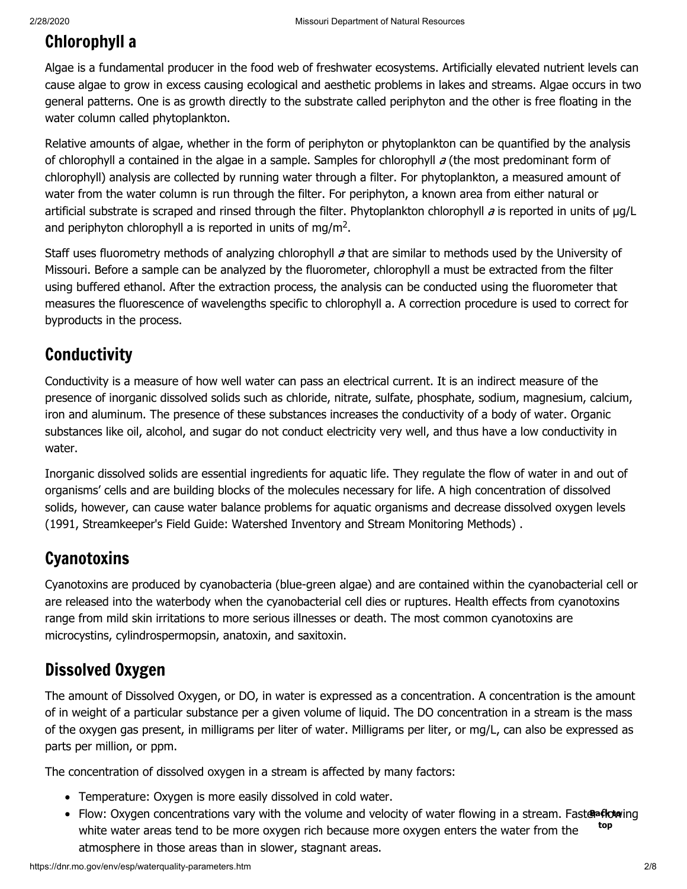### Chlorophyll a

Algae is a fundamental producer in the food web of freshwater ecosystems. Artificially elevated nutrient levels can cause algae to grow in excess causing ecological and aesthetic problems in lakes and streams. Algae occurs in two general patterns. One is as growth directly to the substrate called periphyton and the other is free floating in the water column called phytoplankton.

Relative amounts of algae, whether in the form of periphyton or phytoplankton can be quantified by the analysis of chlorophyll a contained in the algae in a sample. Samples for chlorophyll  $a$  (the most predominant form of chlorophyll) analysis are collected by running water through a filter. For phytoplankton, a measured amount of water from the water column is run through the filter. For periphyton, a known area from either natural or artificial substrate is scraped and rinsed through the filter. Phytoplankton chlorophyll  $a$  is reported in units of  $\mu g/L$ and periphyton chlorophyll a is reported in units of mg/m<sup>2</sup>.

Staff uses fluorometry methods of analyzing chlorophyll a that are similar to methods used by the University of Missouri. Before a sample can be analyzed by the fluorometer, chlorophyll a must be extracted from the filter using buffered ethanol. After the extraction process, the analysis can be conducted using the fluorometer that measures the fluorescence of wavelengths specific to chlorophyll a. A correction procedure is used to correct for byproducts in the process.

# <span id="page-1-0"></span>**Conductivity**

Conductivity is a measure of how well water can pass an electrical current. It is an indirect measure of the presence of inorganic dissolved solids such as chloride, nitrate, sulfate, phosphate, sodium, magnesium, calcium, iron and aluminum. The presence of these substances increases the conductivity of a body of water. Organic substances like oil, alcohol, and sugar do not conduct electricity very well, and thus have a low conductivity in water.

Inorganic dissolved solids are essential ingredients for aquatic life. They regulate the flow of water in and out of organisms' cells and are building blocks of the molecules necessary for life. A high concentration of dissolved solids, however, can cause water balance problems for aquatic organisms and decrease dissolved oxygen levels (1991, Streamkeeper's Field Guide: Watershed Inventory and Stream Monitoring Methods) .

### <span id="page-1-1"></span>**Cyanotoxins**

Cyanotoxins are produced by cyanobacteria (blue-green algae) and are contained within the cyanobacterial cell or are released into the waterbody when the cyanobacterial cell dies or ruptures. Health effects from cyanotoxins range from mild skin irritations to more serious illnesses or death. The most common cyanotoxins are microcystins, cylindrospermopsin, anatoxin, and saxitoxin.

### Dissolved Oxygen

The amount of Dissolved Oxygen, or DO, in water is expressed as a concentration. A concentration is the amount of in weight of a particular substance per a given volume of liquid. The DO concentration in a stream is the mass of the oxygen gas present, in milligrams per liter of water. Milligrams per liter, or mg/L, can also be expressed as parts per million, or ppm.

The concentration of dissolved oxygen in a stream is affected by many factors:

- Temperature: Oxygen is more easily dissolved in cold water.
- Flow: Oxygen concentrations vary with the volume and velocity of wat[er flow](#page-0-6)ing in a stream. Fast**eaflow**ing white water areas tend to be more oxygen rich because more oxygen enters the water from the atmosphere in those areas than in slower, stagnant areas. **top**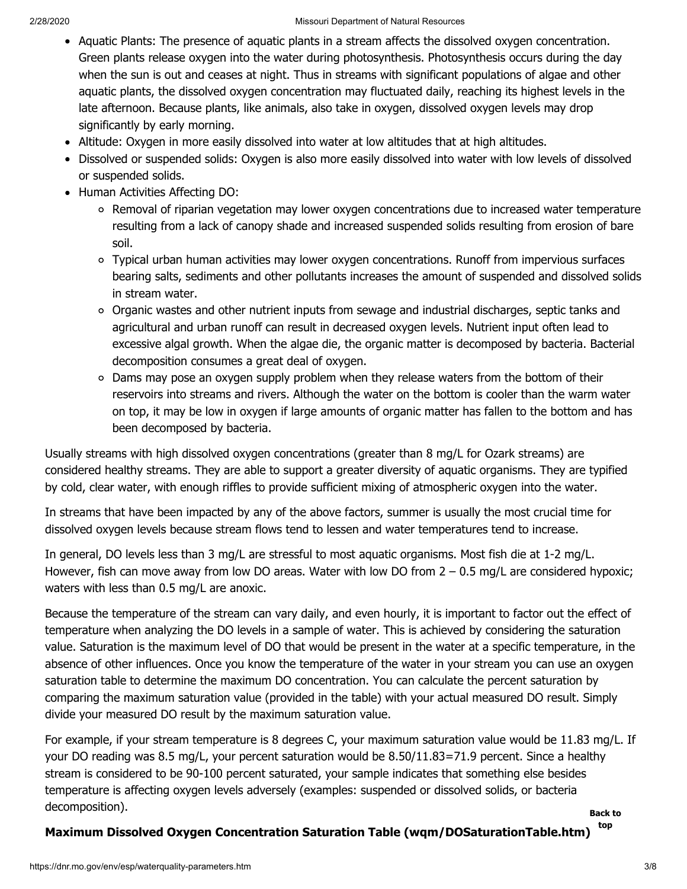- Aquatic Plants: The presence of aquatic plants in a stream affects the dissolved oxygen concentration. Green plants release oxygen into the water during photosynthesis. Photosynthesis occurs during the day when the sun is out and ceases at night. Thus in streams with significant populations of algae and other aquatic plants, the dissolved oxygen concentration may fluctuated daily, reaching its highest levels in the late afternoon. Because plants, like animals, also take in oxygen, dissolved oxygen levels may drop significantly by early morning.
- Altitude: Oxygen in more easily dissolved into water at low altitudes that at high altitudes.
- Dissolved or suspended solids: Oxygen is also more easily dissolved into water with low levels of dissolved or suspended solids.
- Human Activities Affecting DO:
	- Removal of riparian vegetation may lower oxygen concentrations due to increased water temperature resulting from a lack of canopy shade and increased suspended solids resulting from erosion of bare soil.
	- Typical urban human activities may lower oxygen concentrations. Runoff from impervious surfaces bearing salts, sediments and other pollutants increases the amount of suspended and dissolved solids in stream water.
	- Organic wastes and other nutrient inputs from sewage and industrial discharges, septic tanks and agricultural and urban runoff can result in decreased oxygen levels. Nutrient input often lead to excessive algal growth. When the algae die, the organic matter is decomposed by bacteria. Bacterial decomposition consumes a great deal of oxygen.
	- Dams may pose an oxygen supply problem when they release waters from the bottom of their reservoirs into streams and rivers. Although the water on the bottom is cooler than the warm water on top, it may be low in oxygen if large amounts of organic matter has fallen to the bottom and has been decomposed by bacteria.

Usually streams with high dissolved oxygen concentrations (greater than 8 mg/L for Ozark streams) are considered healthy streams. They are able to support a greater diversity of aquatic organisms. They are typified by cold, clear water, with enough riffles to provide sufficient mixing of atmospheric oxygen into the water.

In streams that have been impacted by any of the above factors, summer is usually the most crucial time for dissolved oxygen levels because stream flows tend to lessen and water temperatures tend to increase.

In general, DO levels less than 3 mg/L are stressful to most aquatic organisms. Most fish die at 1-2 mg/L. However, fish can move away from low DO areas. Water with low DO from  $2 - 0.5$  mg/L are considered hypoxic; waters with less than 0.5 mg/L are anoxic.

Because the temperature of the stream can vary daily, and even hourly, it is important to factor out the effect of temperature when analyzing the DO levels in a sample of water. This is achieved by considering the saturation value. Saturation is the maximum level of DO that would be present in the water at a specific temperature, in the absence of other influences. Once you know the temperature of the water in your stream you can use an oxygen saturation table to determine the maximum DO concentration. You can calculate the percent saturation by comparing the maximum saturation value (provided in the table) with your actual measured DO result. Simply divide your measured DO result by the maximum saturation value.

For example, if your stream temperature is 8 degrees C, your maximum saturation value would be 11.83 mg/L. If your DO reading was 8.5 mg/L, your percent saturation would be 8.50/11.83=71.9 percent. Since a healthy stream is considered to be 90-100 percent saturated, your sample indicates that something else besides temperature is affecting oxygen levels adversely (examples: suspended or dissolved solids, or bacteria decomposition). **[Back to](#page-0-6)**

**top**

#### **[Maximum Dissolved Oxygen Concentration Saturation Table \(wqm/DOSaturationTable.htm\)](https://dnr.mo.gov/env/esp/wqm/DOSaturationTable.htm)**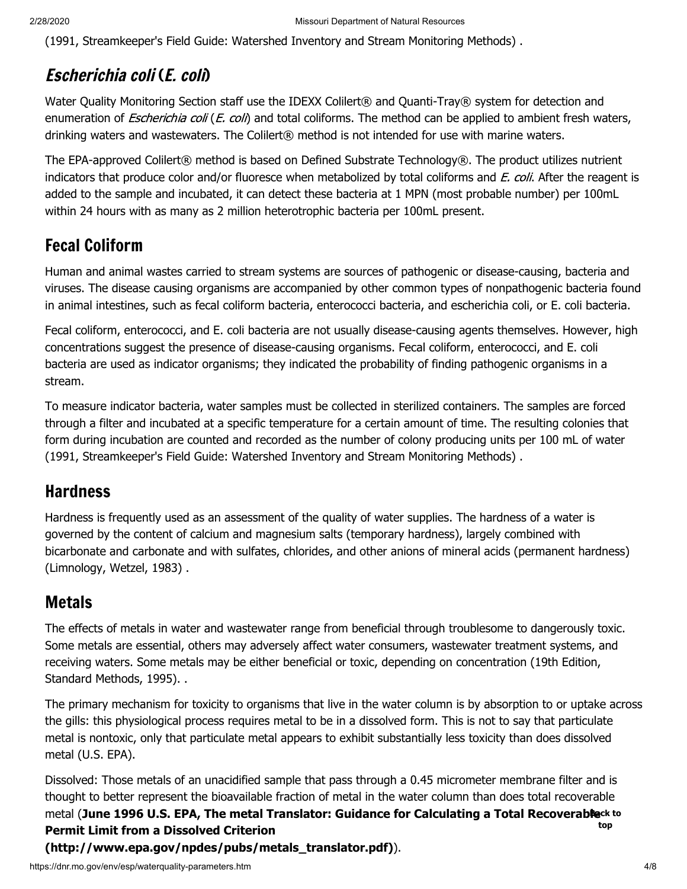(1991, Streamkeeper's Field Guide: Watershed Inventory and Stream Monitoring Methods) .

### Escherichia coli (E. coli)

Water Quality Monitoring Section staff use the IDEXX Colilert® and Quanti-Tray® system for detection and enumeration of *Escherichia coli (E. coli*) and total coliforms. The method can be applied to ambient fresh waters, drinking waters and wastewaters. The Colilert® method is not intended for use with marine waters.

The EPA-approved Colilert® method is based on Defined Substrate Technology®. The product utilizes nutrient indicators that produce color and/or fluoresce when metabolized by total coliforms and E. coli. After the reagent is added to the sample and incubated, it can detect these bacteria at 1 MPN (most probable number) per 100mL within 24 hours with as many as 2 million heterotrophic bacteria per 100mL present.

# Fecal Coliform

Human and animal wastes carried to stream systems are sources of pathogenic or disease-causing, bacteria and viruses. The disease causing organisms are accompanied by other common types of nonpathogenic bacteria found in animal intestines, such as fecal coliform bacteria, enterococci bacteria, and escherichia coli, or E. coli bacteria.

Fecal coliform, enterococci, and E. coli bacteria are not usually disease-causing agents themselves. However, high concentrations suggest the presence of disease-causing organisms. Fecal coliform, enterococci, and E. coli bacteria are used as indicator organisms; they indicated the probability of finding pathogenic organisms in a stream.

To measure indicator bacteria, water samples must be collected in sterilized containers. The samples are forced through a filter and incubated at a specific temperature for a certain amount of time. The resulting colonies that form during incubation are counted and recorded as the number of colony producing units per 100 mL of water (1991, Streamkeeper's Field Guide: Watershed Inventory and Stream Monitoring Methods) .

### <span id="page-3-0"></span>**Hardness**

Hardness is frequently used as an assessment of the quality of water supplies. The hardness of a water is governed by the content of calcium and magnesium salts (temporary hardness), largely combined with bicarbonate and carbonate and with sulfates, chlorides, and other anions of mineral acids (permanent hardness) (Limnology, Wetzel, 1983) .

### <span id="page-3-1"></span>Metals

The effects of metals in water and wastewater range from beneficial through troublesome to dangerously toxic. Some metals are essential, others may adversely affect water consumers, wastewater treatment systems, and receiving waters. Some metals may be either beneficial or toxic, depending on concentration (19th Edition, Standard Methods, 1995). .

The primary mechanism for toxicity to organisms that live in the water column is by absorption to or uptake across the gills: this physiological process requires metal to be in a dissolved form. This is not to say that particulate metal is nontoxic, only that particulate metal appears to exhibit substantially less toxicity than does dissolved metal (U.S. EPA).

Dissolved: Those metals of an unacidified sample that pass through a 0.45 micrometer membrane filter [and is](#page-0-6) thought to better represent the bioavailable fraction of metal in the water column than does total recoverable metal (**[June 1996 U.S. EPA, The metal Translator: Guidance for Calculating a Total Recoverable](http://www.epa.gov/npdes/pubs/metals_translator.pdf) Back to Permit Limit from a Dissolved Criterion top**

**(http://www.epa.gov/npdes/pubs/metals\_translator.pdf)**).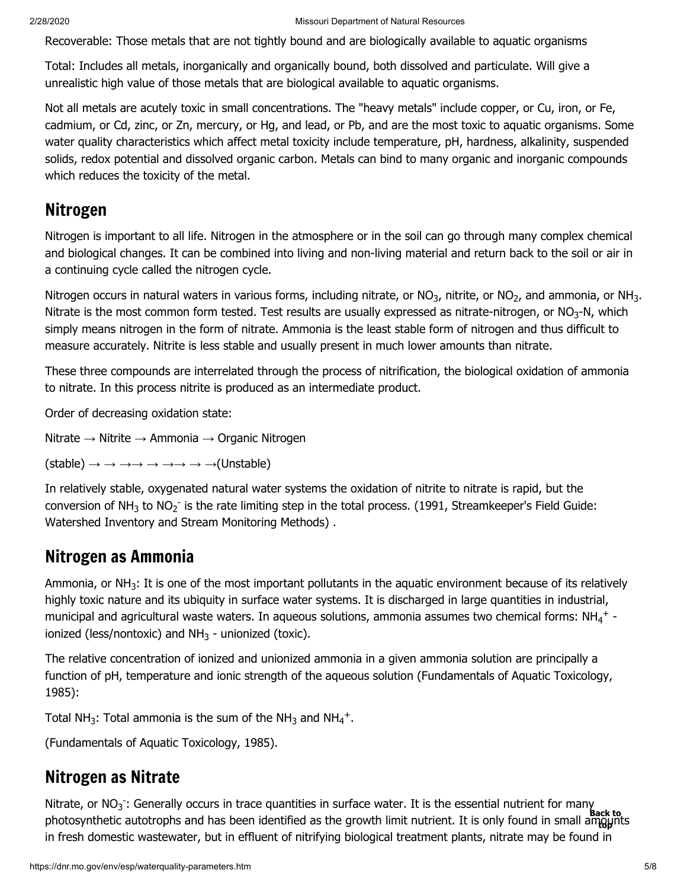Recoverable: Those metals that are not tightly bound and are biologically available to aquatic organisms

Total: Includes all metals, inorganically and organically bound, both dissolved and particulate. Will give a unrealistic high value of those metals that are biological available to aquatic organisms.

Not all metals are acutely toxic in small concentrations. The "heavy metals" include copper, or Cu, iron, or Fe, cadmium, or Cd, zinc, or Zn, mercury, or Hg, and lead, or Pb, and are the most toxic to aquatic organisms. Some water quality characteristics which affect metal toxicity include temperature, pH, hardness, alkalinity, suspended solids, redox potential and dissolved organic carbon. Metals can bind to many organic and inorganic compounds which reduces the toxicity of the metal.

#### <span id="page-4-0"></span>Nitrogen

Nitrogen is important to all life. Nitrogen in the atmosphere or in the soil can go through many complex chemical and biological changes. It can be combined into living and non-living material and return back to the soil or air in a continuing cycle called the nitrogen cycle.

Nitrogen occurs in natural waters in various forms, including nitrate, or NO<sub>3</sub>, nitrite, or NO<sub>2</sub>, and ammonia, or NH<sub>3</sub>. Nitrate is the most common form tested. Test results are usually expressed as nitrate-nitrogen, or NO<sub>3</sub>-N, which simply means nitrogen in the form of nitrate. Ammonia is the least stable form of nitrogen and thus difficult to measure accurately. Nitrite is less stable and usually present in much lower amounts than nitrate.

These three compounds are interrelated through the process of nitrification, the biological oxidation of ammonia to nitrate. In this process nitrite is produced as an intermediate product.

Order of decreasing oxidation state:

Nitrate → Nitrite → Ammonia → Organic Nitrogen

 $(statole) \rightarrow \rightarrow \rightarrow \rightarrow \rightarrow \rightarrow \rightarrow \rightarrow (Unstable)$ 

In relatively stable, oxygenated natural water systems the oxidation of nitrite to nitrate is rapid, but the conversion of NH<sub>3</sub> to NO<sub>2</sub><sup>-</sup> is the rate limiting step in the total process. (1991, Streamkeeper's Field Guide: Watershed Inventory and Stream Monitoring Methods) .

### Nitrogen as Ammonia

Ammonia, or NH<sub>3</sub>: It is one of the most important pollutants in the aquatic environment because of its relatively highly toxic nature and its ubiquity in surface water systems. It is discharged in large quantities in industrial, municipal and agricultural waste waters. In aqueous solutions, ammonia assumes two chemical forms: NH<sub>4</sub><sup>+</sup> ionized (less/nontoxic) and NH<sub>3</sub> - unionized (toxic).

The relative concentration of ionized and unionized ammonia in a given ammonia solution are principally a function of pH, temperature and ionic strength of the aqueous solution (Fundamentals of Aquatic Toxicology, 1985):

Total NH<sub>3</sub>: Total ammonia is the sum of the NH<sub>3</sub> and NH<sub>4</sub><sup>+</sup>.

(Fundamentals of Aquatic Toxicology, 1985).

### Nitrogen as Nitrate

Nitrate, or  $NO<sub>3</sub>$ : Generally occurs in trace quantities in surface water. It is the essential nutrient for many photosynthetic autotrophs and has been identified as the growth limit nutrient. It is only found in small ampünts in fresh domestic wastewater, but in effluent of nitrifying biological treatment plants, nitrate may be found in  $3<sup>2</sup>$ **Back to top**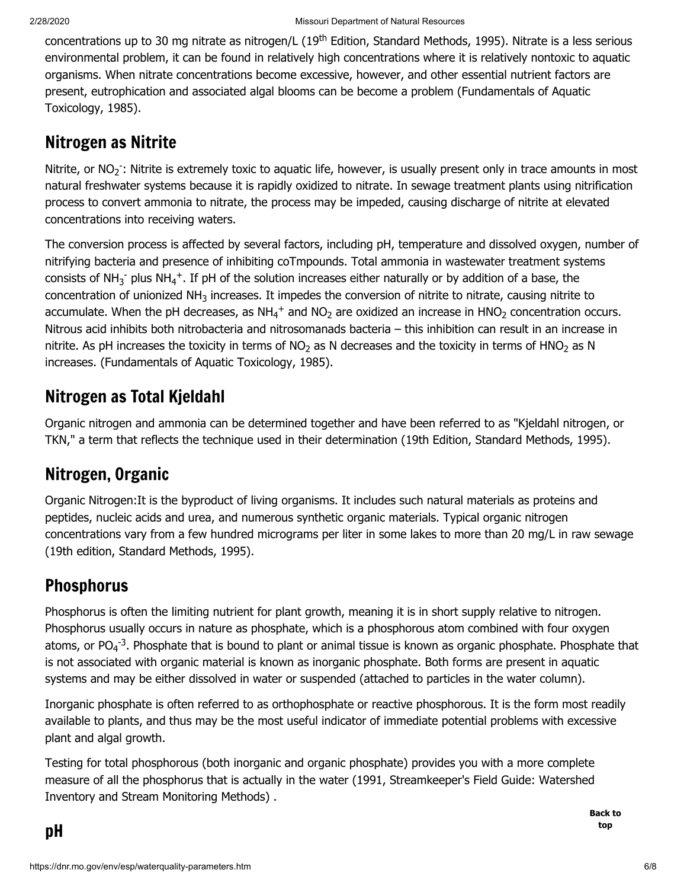concentrations up to 30 mg nitrate as nitrogen/L (19<sup>th</sup> Edition, Standard Methods, 1995). Nitrate is a less serious environmental problem, it can be found in relatively high concentrations where it is relatively nontoxic to aquatic organisms. When nitrate concentrations become excessive, however, and other essential nutrient factors are present, eutrophication and associated algal blooms can be become a problem (Fundamentals of Aquatic Toxicology, 1985).

### Nitrogen as Nitrite

Nitrite, or  $NO_2$ : Nitrite is extremely toxic to aquatic life, however, is usually present only in trace amounts in most natural freshwater systems because it is rapidly oxidized to nitrate. In sewage treatment plants using nitrification process to convert ammonia to nitrate, the process may be impeded, causing discharge of nitrite at elevated concentrations into receiving waters.

The conversion process is affected by several factors, including pH, temperature and dissolved oxygen, number of nitrifying bacteria and presence of inhibiting coTmpounds. Total ammonia in wastewater treatment systems consists of NH<sub>3</sub><sup>-</sup> plus NH<sub>4</sub><sup>+</sup>. If pH of the solution increases either naturally or by addition of a base, the concentration of unionized NH<sub>3</sub> increases. It impedes the conversion of nitrite to nitrate, causing nitrite to accumulate. When the pH decreases, as  $NH_4^+$  and  $NO_2$  are oxidized an increase in HNO<sub>2</sub> concentration occurs. Nitrous acid inhibits both nitrobacteria and nitrosomanads bacteria – this inhibition can result in an increase in nitrite. As pH increases the toxicity in terms of NO<sub>2</sub> as N decreases and the toxicity in terms of HNO<sub>2</sub> as N increases. (Fundamentals of Aquatic Toxicology, 1985).

# Nitrogen as Total Kjeldahl

Organic nitrogen and ammonia can be determined together and have been referred to as "Kjeldahl nitrogen, or TKN," a term that reflects the technique used in their determination (19th Edition, Standard Methods, 1995).

### Nitrogen, Organic

Organic Nitrogen:It is the byproduct of living organisms. It includes such natural materials as proteins and peptides, nucleic acids and urea, and numerous synthetic organic materials. Typical organic nitrogen concentrations vary from a few hundred micrograms per liter in some lakes to more than 20 mg/L in raw sewage (19th edition, Standard Methods, 1995).

### <span id="page-5-0"></span>**Phosphorus**

Phosphorus is often the limiting nutrient for plant growth, meaning it is in short supply relative to nitrogen. Phosphorus usually occurs in nature as phosphate, which is a phosphorous atom combined with four oxygen atoms, or PO<sub>4</sub><sup>-3</sup>. Phosphate that is bound to plant or animal tissue is known as organic phosphate. Phosphate that is not associated with organic material is known as inorganic phosphate. Both forms are present in aquatic systems and may be either dissolved in water or suspended (attached to particles in the water column).

Inorganic phosphate is often referred to as orthophosphate or reactive phosphorous. It is the form most readily available to plants, and thus may be the most useful indicator of immediate potential problems with excessive plant and algal growth.

<span id="page-5-1"></span>Testing for total phosphorous (both inorganic and organic phosphate) provides you with a more complete measure of all the phosphorus that is actually in the water (1991, Streamkeeper's Field Guide: Watershed Inventory and Stream Monitoring Methods) .

> **[Back to](#page-0-6) top**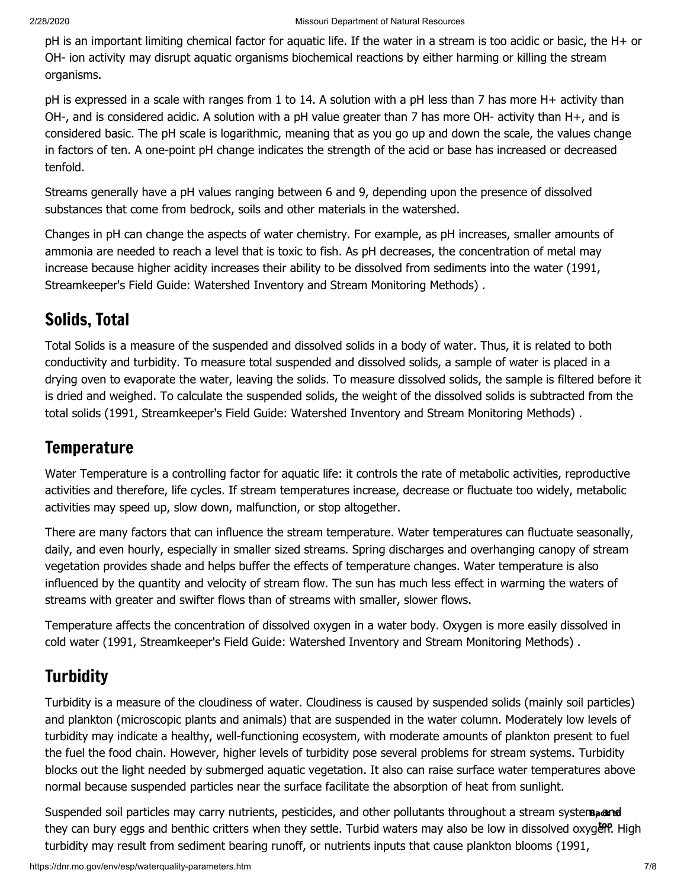pH is an important limiting chemical factor for aquatic life. If the water in a stream is too acidic or basic, the H+ or OH- ion activity may disrupt aquatic organisms biochemical reactions by either harming or killing the stream organisms.

pH is expressed in a scale with ranges from 1 to 14. A solution with a pH less than 7 has more H+ activity than OH-, and is considered acidic. A solution with a pH value greater than 7 has more OH- activity than H+, and is considered basic. The pH scale is logarithmic, meaning that as you go up and down the scale, the values change in factors of ten. A one-point pH change indicates the strength of the acid or base has increased or decreased tenfold.

Streams generally have a pH values ranging between 6 and 9, depending upon the presence of dissolved substances that come from bedrock, soils and other materials in the watershed.

Changes in pH can change the aspects of water chemistry. For example, as pH increases, smaller amounts of ammonia are needed to reach a level that is toxic to fish. As pH decreases, the concentration of metal may increase because higher acidity increases their ability to be dissolved from sediments into the water (1991, Streamkeeper's Field Guide: Watershed Inventory and Stream Monitoring Methods) .

# Solids, Total

Total Solids is a measure of the suspended and dissolved solids in a body of water. Thus, it is related to both conductivity and turbidity. To measure total suspended and dissolved solids, a sample of water is placed in a drying oven to evaporate the water, leaving the solids. To measure dissolved solids, the sample is filtered before it is dried and weighed. To calculate the suspended solids, the weight of the dissolved solids is subtracted from the total solids (1991, Streamkeeper's Field Guide: Watershed Inventory and Stream Monitoring Methods) .

### <span id="page-6-0"></span>**Temperature**

Water Temperature is a controlling factor for aquatic life: it controls the rate of metabolic activities, reproductive activities and therefore, life cycles. If stream temperatures increase, decrease or fluctuate too widely, metabolic activities may speed up, slow down, malfunction, or stop altogether.

There are many factors that can influence the stream temperature. Water temperatures can fluctuate seasonally, daily, and even hourly, especially in smaller sized streams. Spring discharges and overhanging canopy of stream vegetation provides shade and helps buffer the effects of temperature changes. Water temperature is also influenced by the quantity and velocity of stream flow. The sun has much less effect in warming the waters of streams with greater and swifter flows than of streams with smaller, slower flows.

Temperature affects the concentration of dissolved oxygen in a water body. Oxygen is more easily dissolved in cold water (1991, Streamkeeper's Field Guide: Watershed Inventory and Stream Monitoring Methods) .

# <span id="page-6-1"></span>**Turbidity**

Turbidity is a measure of the cloudiness of water. Cloudiness is caused by suspended solids (mainly soil particles) and plankton (microscopic plants and animals) that are suspended in the water column. Moderately low levels of turbidity may indicate a healthy, well-functioning ecosystem, with moderate amounts of plankton present to fuel the fuel the food chain. However, higher levels of turbidity pose several problems for stream systems. Turbidity blocks out the light needed by submerged aquatic vegetation. It also can raise surface water temperatures above normal because suspended particles near the surface facilitate the absorption of heat from sunlight.

Suspended soil particles may carry nutrients, pesticides, and other pollutants throughout a stream system, and<br>they can bury eggs and benthic critters when they settle. Turbid waters may also be low in dissolved oxyg**&P** H they can bury eggs and benthic critters when they settle. Turbid waters may also be low in dissolved oxygen. High turbidity may result from sediment bearing runoff, or nutrients inputs that cause plankton blooms (1991,